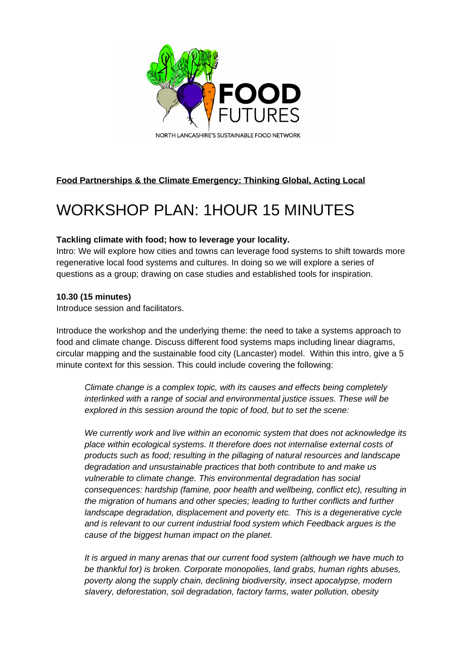

## **Food Partnerships & the Climate Emergency: Thinking Global, Acting Local**

# WORKSHOP PLAN: 1HOUR 15 MINUTES

## **Tackling climate with food; how to leverage your locality.**

Intro: We will explore how cities and towns can leverage food systems to shift towards more regenerative local food systems and cultures. In doing so we will explore a series of questions as a group; drawing on case studies and established tools for inspiration.

### **10.30 (15 minutes)**

Introduce session and facilitators.

Introduce the workshop and the underlying theme: the need to take a systems approach to food and climate change. Discuss different food systems maps including linear diagrams, circular mapping and the sustainable food city (Lancaster) model. Within this intro, give a 5 minute context for this session. This could include covering the following:

*Climate change is a complex topic, with its causes and effects being completely interlinked with a range of social and environmental justice issues. These will be explored in this session around the topic of food, but to set the scene:*

*We currently work and live within an economic system that does not acknowledge its place within ecological systems. It therefore does not internalise external costs of products such as food; resulting in the pillaging of natural resources and landscape degradation and unsustainable practices that both contribute to and make us vulnerable to climate change. This environmental degradation has social consequences: hardship (famine, poor health and wellbeing, conflict etc), resulting in the migration of humans and other species; leading to further conflicts and further landscape degradation, displacement and poverty etc. This is a degenerative cycle and is relevant to our current industrial food system which Feedback argues is the cause of the biggest human impact on the planet.*

*It is argued in many arenas that our current food system (although we have much to be thankful for) is broken. Corporate monopolies, land grabs, human rights abuses, poverty along the supply chain, declining biodiversity, insect apocalypse, modern slavery, deforestation, soil degradation, factory farms, water pollution, obesity*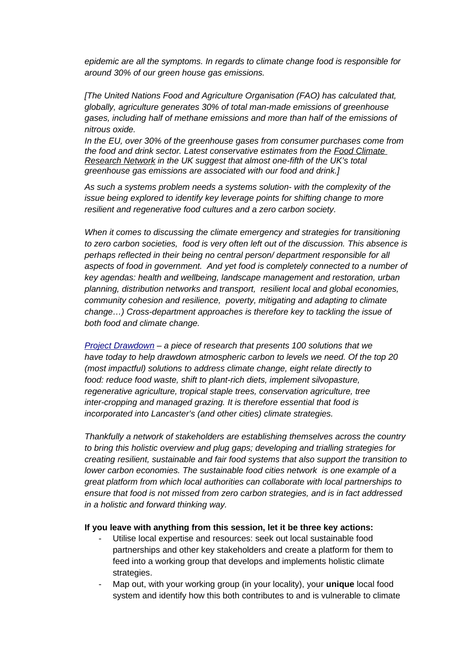*epidemic are all the symptoms. In regards to climate change food is responsible for around 30% of our green house gas emissions.*

*[The United Nations Food and Agriculture Organisation (FAO) has calculated that, globally, agriculture generates 30% of total man-made emissions of greenhouse gases, including half of methane emissions and more than half of the emissions of nitrous oxide.*

*In the EU, over 30% of the greenhouse gases from consumer purchases come from the food and drink sector. Latest conservative estimates from the [Food Climate](http://www.fcrn.org.uk/)  [Research Network](http://www.fcrn.org.uk/) in the UK suggest that almost one-fifth of the UK's total greenhouse gas emissions are associated with our food and drink.]* 

*As such a systems problem needs a systems solution- with the complexity of the issue being explored to identify key leverage points for shifting change to more resilient and regenerative food cultures and a zero carbon society.*

*When it comes to discussing the climate emergency and strategies for transitioning to zero carbon societies, food is very often left out of the discussion. This absence is perhaps reflected in their being no central person/ department responsible for all aspects of food in government. And yet food is completely connected to a number of key agendas: health and wellbeing, landscape management and restoration, urban planning, distribution networks and transport, resilient local and global economies, community cohesion and resilience, poverty, mitigating and adapting to climate change…) Cross-department approaches is therefore key to tackling the issue of both food and climate change.*

*Project Drawdown – a piece of research that presents 100 solutions that we have today to help drawdown atmospheric carbon to levels we need. Of the top 20 (most impactful) solutions to address climate change, eight relate directly to food: reduce food waste, shift to plant-rich diets, implement silvopasture, regenerative agriculture, tropical staple trees, conservation agriculture, tree inter-cropping and managed grazing. It is therefore essential that food is incorporated into Lancaster's (and other cities) climate strategies.*

*Thankfully a network of stakeholders are establishing themselves across the country to bring this holistic overview and plug gaps; developing and trialling strategies for creating resilient, sustainable and fair food systems that also support the transition to lower carbon economies. The sustainable food cities network is one example of a great platform from which local authorities can collaborate with local partnerships to ensure that food is not missed from zero carbon strategies, and is in fact addressed in a holistic and forward thinking way.*

#### **If you leave with anything from this session, let it be three key actions:**

- Utilise local expertise and resources: seek out local sustainable food partnerships and other key stakeholders and create a platform for them to feed into a working group that develops and implements holistic climate strategies.
- Map out, with your working group (in your locality), your **unique** local food system and identify how this both contributes to and is vulnerable to climate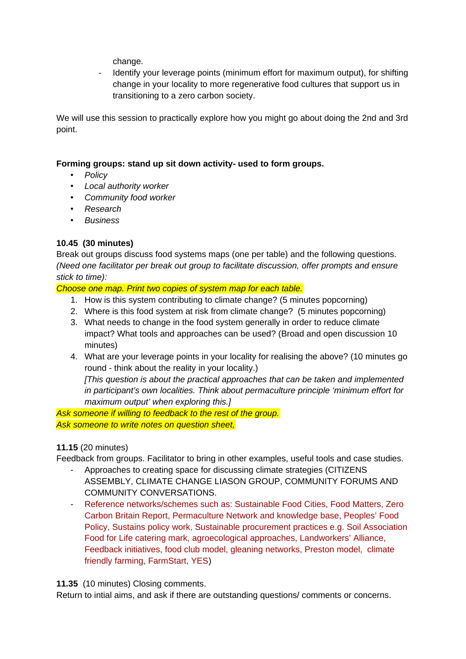change.

Identify your leverage points (minimum effort for maximum output), for shifting change in your locality to more regenerative food cultures that support us in transitioning to a zero carbon society.

We will use this session to practically explore how you might go about doing the 2nd and 3rd point.

## **Forming groups: stand up sit down activity- used to form groups.**

- *Policy*
- *Local authority worker*
- *Community food worker*
- *Research*
- *Business*

## **10.45 (30 minutes)**

Break out groups discuss food systems maps (one per table) and the following questions. *(Need one facilitator per break out group to facilitate discussion, offer prompts and ensure stick to time):* 

*Choose one map. Print two copies of system map for each table.*

- 1. How is this system contributing to climate change? (5 minutes popcorning)
- 2. Where is this food system at risk from climate change? (5 minutes popcorning)
- 3. What needs to change in the food system generally in order to reduce climate impact? What tools and approaches can be used? (Broad and open discussion 10 minutes)
- 4. What are your leverage points in your locality for realising the above? (10 minutes go round - think about the reality in your locality.)

*[This question is about the practical approaches that can be taken and implemented in participant's own localities. Think about permaculture principle 'minimum effort for maximum output' when exploring this.]* 

*Ask someone if willing to feedback to the rest of the group. Ask someone to write notes on question sheet,*

## **11.15** (20 minutes)

Feedback from groups. Facilitator to bring in other examples, useful tools and case studies.

- Approaches to creating space for discussing climate strategies (CITIZENS ASSEMBLY, CLIMATE CHANGE LIASON GROUP, COMMUNITY FORUMS AND COMMUNITY CONVERSATIONS.
- Reference networks/schemes such as: Sustainable Food Cities, Food Matters, Zero Carbon Britain Report, Permaculture Network and knowledge base, Peoples' Food Policy, Sustains policy work, Sustainable procurement practices e.g. Soil Association Food for Life catering mark, agroecological approaches, Landworkers' Alliance, Feedback initiatives, food club model, gleaning networks, Preston model, climate friendly farming, FarmStart, YES)

## **11.35** (10 minutes) Closing comments.

Return to intial aims, and ask if there are outstanding questions/ comments or concerns.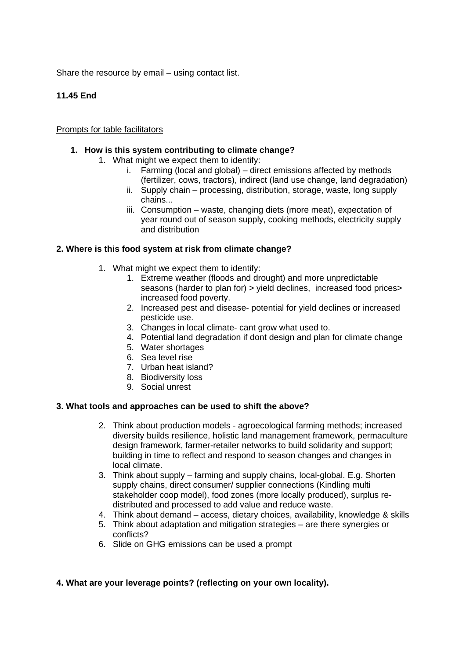Share the resource by email – using contact list.

## **11.45 End**

#### Prompts for table facilitators

#### **1. How is this system contributing to climate change?**

- 1. What might we expect them to identify:
	- i. Farming (local and global) direct emissions affected by methods (fertilizer, cows, tractors), indirect (land use change, land degradation)
	- ii. Supply chain processing, distribution, storage, waste, long supply chains...
	- iii. Consumption waste, changing diets (more meat), expectation of year round out of season supply, cooking methods, electricity supply and distribution

#### **2. Where is this food system at risk from climate change?**

- 1. What might we expect them to identify:
	- 1. Extreme weather (floods and drought) and more unpredictable seasons (harder to plan for) > yield declines, increased food prices> increased food poverty.
	- 2. Increased pest and disease- potential for yield declines or increased pesticide use.
	- 3. Changes in local climate- cant grow what used to.
	- 4. Potential land degradation if dont design and plan for climate change
	- 5. Water shortages
	- 6. Sea level rise
	- 7. Urban heat island?
	- 8. Biodiversity loss
	- 9. Social unrest

#### **3. What tools and approaches can be used to shift the above?**

- 2. Think about production models agroecological farming methods; increased diversity builds resilience, holistic land management framework, permaculture design framework, farmer-retailer networks to build solidarity and support; building in time to reflect and respond to season changes and changes in local climate.
- 3. Think about supply farming and supply chains, local-global. E.g. Shorten supply chains, direct consumer/ supplier connections (Kindling multi stakeholder coop model), food zones (more locally produced), surplus redistributed and processed to add value and reduce waste.
- 4. Think about demand access, dietary choices, availability, knowledge & skills
- 5. Think about adaptation and mitigation strategies are there synergies or conflicts?
- 6. Slide on GHG emissions can be used a prompt

### **4. What are your leverage points? (reflecting on your own locality).**